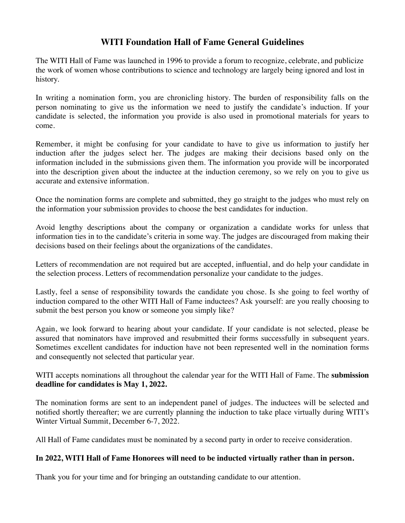### **WITI Foundation Hall of Fame General Guidelines**

The WITI Hall of Fame was launched in 1996 to provide a forum to recognize, celebrate, and publicize the work of women whose contributions to science and technology are largely being ignored and lost in history.

In writing a nomination form, you are chronicling history. The burden of responsibility falls on the person nominating to give us the information we need to justify the candidate's induction. If your candidate is selected, the information you provide is also used in promotional materials for years to come.

Remember, it might be confusing for your candidate to have to give us information to justify her induction after the judges select her. The judges are making their decisions based only on the information included in the submissions given them. The information you provide will be incorporated into the description given about the inductee at the induction ceremony, so we rely on you to give us accurate and extensive information.

Once the nomination forms are complete and submitted, they go straight to the judges who must rely on the information your submission provides to choose the best candidates for induction.

Avoid lengthy descriptions about the company or organization a candidate works for unless that information ties in to the candidate's criteria in some way. The judges are discouraged from making their decisions based on their feelings about the organizations of the candidates.

Letters of recommendation are not required but are accepted, influential, and do help your candidate in the selection process. Letters of recommendation personalize your candidate to the judges.

Lastly, feel a sense of responsibility towards the candidate you chose. Is she going to feel worthy of induction compared to the other WITI Hall of Fame inductees? Ask yourself: are you really choosing to submit the best person you know or someone you simply like?

Again, we look forward to hearing about your candidate. If your candidate is not selected, please be assured that nominators have improved and resubmitted their forms successfully in subsequent years. Sometimes excellent candidates for induction have not been represented well in the nomination forms and consequently not selected that particular year.

WITI accepts nominations all throughout the calendar year for the WITI Hall of Fame. The **submission deadline for candidates is May 1, 2022.**

The nomination forms are sent to an independent panel of judges. The inductees will be selected and notified shortly thereafter; we are currently planning the induction to take place virtually during WITI's Winter Virtual Summit, December 6-7, 2022.

All Hall of Fame candidates must be nominated by a second party in order to receive consideration.

#### **In 2022, WITI Hall of Fame Honorees will need to be inducted virtually rather than in person.**

Thank you for your time and for bringing an outstanding candidate to our attention.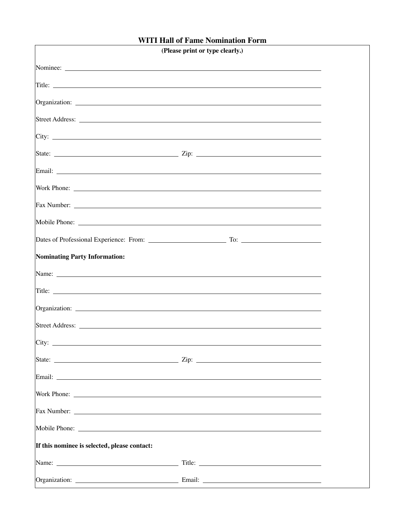### **WITI Hall of Fame Nomination Form**

|                                              | (Please print or type clearly.)                                                                                                                                                                                                      |  |  |
|----------------------------------------------|--------------------------------------------------------------------------------------------------------------------------------------------------------------------------------------------------------------------------------------|--|--|
|                                              |                                                                                                                                                                                                                                      |  |  |
|                                              |                                                                                                                                                                                                                                      |  |  |
|                                              |                                                                                                                                                                                                                                      |  |  |
|                                              |                                                                                                                                                                                                                                      |  |  |
|                                              | $\boxed{\text{City:}}$                                                                                                                                                                                                               |  |  |
|                                              |                                                                                                                                                                                                                                      |  |  |
|                                              |                                                                                                                                                                                                                                      |  |  |
|                                              | Work Phone: <u>The Community of the Community of the Community of the Community of the Community of the Community of the Community of the Community of the Community of the Community of the Community of the Community of the C</u> |  |  |
|                                              |                                                                                                                                                                                                                                      |  |  |
|                                              |                                                                                                                                                                                                                                      |  |  |
|                                              |                                                                                                                                                                                                                                      |  |  |
| Nominating Party Information:                |                                                                                                                                                                                                                                      |  |  |
|                                              |                                                                                                                                                                                                                                      |  |  |
|                                              | Title: <u>the contract of the contract of the contract of the contract of the contract of the contract of the contract of the contract of the contract of the contract of the contract of the contract of the contract of the co</u> |  |  |
|                                              |                                                                                                                                                                                                                                      |  |  |
|                                              |                                                                                                                                                                                                                                      |  |  |
| City:                                        |                                                                                                                                                                                                                                      |  |  |
|                                              |                                                                                                                                                                                                                                      |  |  |
|                                              |                                                                                                                                                                                                                                      |  |  |
|                                              | Work Phone: <u>the contract of the contract of the contract of the contract of the contract of the contract of the contract of the contract of the contract of the contract of the contract of the contract of the contract of t</u> |  |  |
|                                              |                                                                                                                                                                                                                                      |  |  |
|                                              |                                                                                                                                                                                                                                      |  |  |
| If this nominee is selected, please contact: |                                                                                                                                                                                                                                      |  |  |
|                                              |                                                                                                                                                                                                                                      |  |  |
|                                              |                                                                                                                                                                                                                                      |  |  |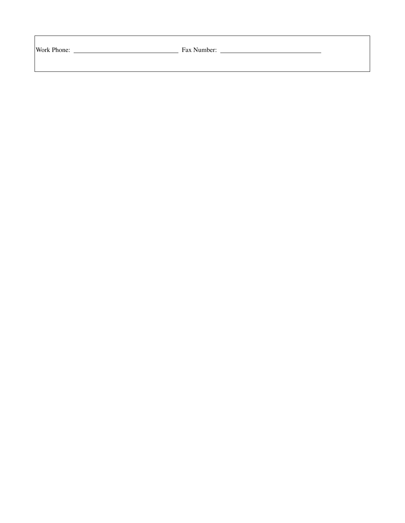| Work Phone: |
|-------------|

Example Pax Number: <u>Fax Number:</u> Fax Number: 1997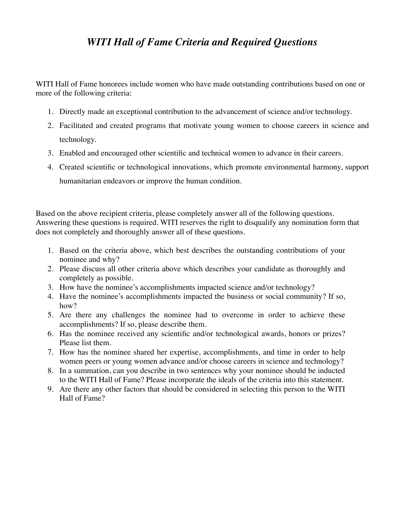# *WITI Hall of Fame Criteria and Required Questions*

WITI Hall of Fame honorees include women who have made outstanding contributions based on one or more of the following criteria:

- 1. Directly made an exceptional contribution to the advancement of science and/or technology.
- 2. Facilitated and created programs that motivate young women to choose careers in science and technology.
- 3. Enabled and encouraged other scientific and technical women to advance in their careers.
- 4. Created scientific or technological innovations, which promote environmental harmony, support humanitarian endeavors or improve the human condition.

Based on the above recipient criteria, please completely answer all of the following questions. Answering these questions is required. WITI reserves the right to disqualify any nomination form that does not completely and thoroughly answer all of these questions.

- 1. Based on the criteria above, which best describes the outstanding contributions of your nominee and why?
- 2. Please discuss all other criteria above which describes your candidate as thoroughly and completely as possible.
- 3. How have the nominee's accomplishments impacted science and/or technology?
- 4. Have the nominee's accomplishments impacted the business or social community? If so, how?
- 5. Are there any challenges the nominee had to overcome in order to achieve these accomplishments? If so, please describe them.
- 6. Has the nominee received any scientific and/or technological awards, honors or prizes? Please list them.
- 7. How has the nominee shared her expertise, accomplishments, and time in order to help women peers or young women advance and/or choose careers in science and technology?
- 8. In a summation, can you describe in two sentences why your nominee should be inducted to the WITI Hall of Fame? Please incorporate the ideals of the criteria into this statement.
- 9. Are there any other factors that should be considered in selecting this person to the WITI Hall of Fame?